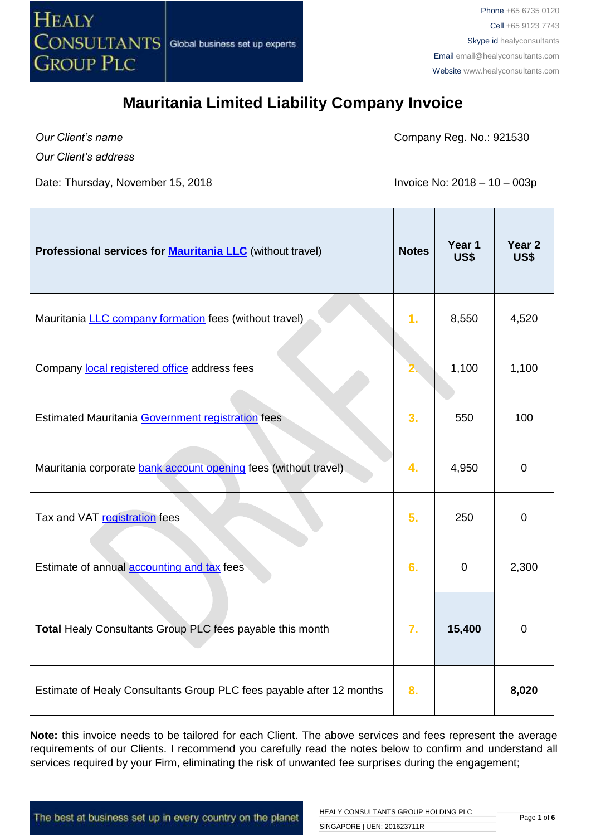

*Our Client's name*

Company Reg. No.: 921530

*Our Client's address*

Date: Thursday, November 15, 2018 **Invoice No: 2018** - 10 – 003p

| Professional services for <b>Mauritania LLC</b> (without travel)     | <b>Notes</b> | Year 1<br>US\$ | Year <sub>2</sub><br>US\$ |
|----------------------------------------------------------------------|--------------|----------------|---------------------------|
| Mauritania <b>LLC</b> company formation fees (without travel)        | 1.           | 8,550          | 4,520                     |
| Company local registered office address fees                         |              | 1,100          | 1,100                     |
| Estimated Mauritania Government registration fees                    | 3.           | 550            | 100                       |
| Mauritania corporate bank account opening fees (without travel)      | 4.           | 4,950          | $\overline{0}$            |
| Tax and VAT registration fees                                        | 5.           | 250            | 0                         |
| Estimate of annual accounting and tax fees                           | 6.           | $\overline{0}$ | 2,300                     |
| Total Healy Consultants Group PLC fees payable this month            | 7.           | 15,400         | $\overline{0}$            |
| Estimate of Healy Consultants Group PLC fees payable after 12 months | 8.           |                | 8,020                     |

**Note:** this invoice needs to be tailored for each Client. The above services and fees represent the average requirements of our Clients. I recommend you carefully read the notes below to confirm and understand all services required by your Firm, eliminating the risk of unwanted fee surprises during the engagement;

The best at business set up in every country on the planet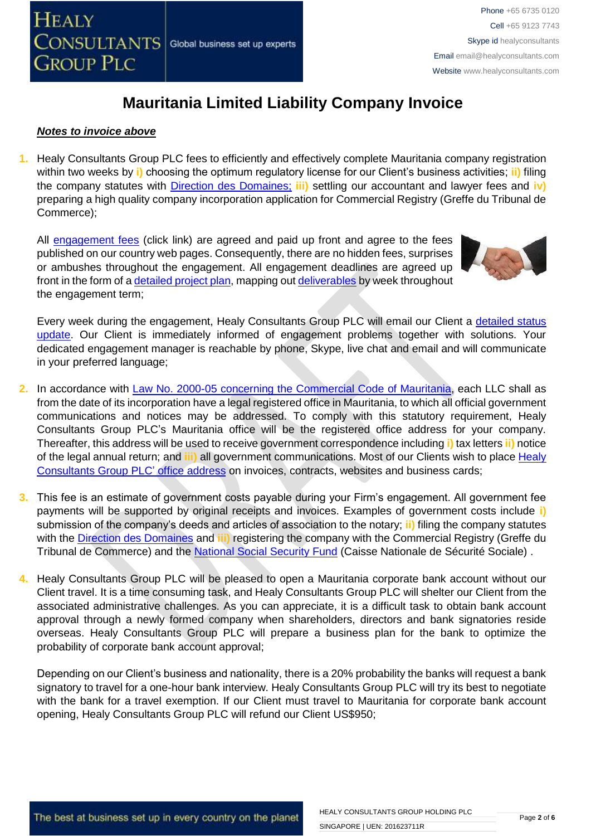

#### *Notes to invoice above*

**1.** Healy Consultants Group PLC fees to efficiently and effectively complete Mauritania company registration within two weeks by **i)** choosing the optimum regulatory license for our Client's business activities; **ii)** filing the company statutes with [Direction des Domaines;](http://www.finances.gov.mr/) **iii)** settling our accountant and lawyer fees and **iv)** preparing a high quality company incorporation application for Commercial Registry (Greffe du Tribunal de Commerce);

All [engagement fees](http://www.healyconsultants.com/company-registration-fees/) (click link) are agreed and paid up front and agree to the fees published on our country web pages. Consequently, there are no hidden fees, surprises or ambushes throughout the engagement. All engagement deadlines are agreed up front in the form of a [detailed project plan,](http://www.healyconsultants.com/index-important-links/example-project-plan/) mapping out [deliverables](http://www.healyconsultants.com/deliverables-to-our-clients/) by week throughout the engagement term;



Every week during the engagement, Healy Consultants Group PLC will email our Client a [detailed status](http://www.healyconsultants.com/index-important-links/weekly-engagement-status-email/)  [update.](http://www.healyconsultants.com/index-important-links/weekly-engagement-status-email/) Our Client is immediately informed of engagement problems together with solutions. Your dedicated engagement manager is reachable by phone, Skype, live chat and email and will communicate in your preferred language;

- **2.** In accordance with [Law No. 2000-05 concerning the Commercial Code](http://www.wipo.int/wipolex/fr/text.jsp?file_id=236577#LinkTarget_7738) of Mauritania, each LLC shall as from the date of its incorporation have a legal registered office in Mauritania, to which all official government communications and notices may be addressed. To comply with this statutory requirement, Healy Consultants Group PLC's Mauritania office will be the registered office address for your company. Thereafter, this address will be used to receive government correspondence including **i)** tax letters **ii)** notice of the legal annual return; and **iii)** all government communications. Most of our Clients wish to place [Healy](http://www.healyconsultants.com/corporate-outsourcing-services/company-secretary-and-legal-registered-office/)  [Consultants Group PLC'](http://www.healyconsultants.com/corporate-outsourcing-services/company-secretary-and-legal-registered-office/) office address on invoices, contracts, websites and business cards;
- **3.** This fee is an estimate of government costs payable during your Firm's engagement. All government fee payments will be supported by original receipts and invoices. Examples of government costs include **i)** submission of the company's deeds and articles of association to the notary; **ii)** filing the company statutes with the [Direction des Domaines](http://www.finances.gov.mr/) and **iii)** registering the company with the Commercial Registry (Greffe du Tribunal de Commerce) and the [National Social Security Fund](http://www.cnss.mr/) (Caisse Nationale de Sécurité Sociale) .
- **4.** Healy Consultants Group PLC will be pleased to open a Mauritania corporate bank account without our Client travel. It is a time consuming task, and Healy Consultants Group PLC will shelter our Client from the associated administrative challenges. As you can appreciate, it is a difficult task to obtain bank account approval through a newly formed company when shareholders, directors and bank signatories reside overseas. Healy Consultants Group PLC will prepare a business plan for the bank to optimize the probability of corporate bank account approval;

Depending on our Client's business and nationality, there is a 20% probability the banks will request a bank signatory to travel for a one-hour bank interview. Healy Consultants Group PLC will try its best to negotiate with the bank for a travel exemption. If our Client must travel to Mauritania for corporate bank account opening, Healy Consultants Group PLC will refund our Client US\$950;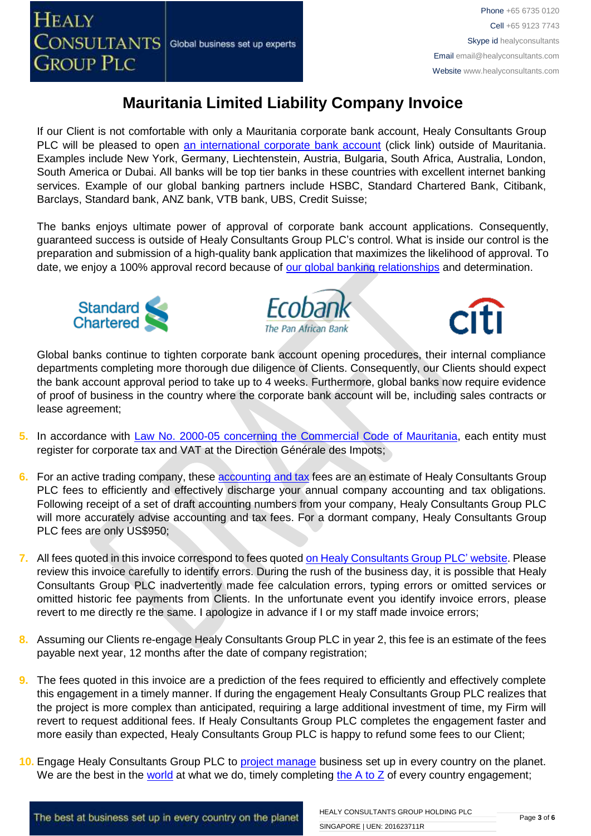

If our Client is not comfortable with only a Mauritania corporate bank account, Healy Consultants Group PLC will be pleased to open [an international corporate bank account](http://www.healyconsultants.com/international-banking/) (click link) outside of Mauritania. Examples include New York, Germany, Liechtenstein, Austria, Bulgaria, South Africa, Australia, London, South America or Dubai. All banks will be top tier banks in these countries with excellent internet banking services. Example of our global banking partners include HSBC, Standard Chartered Bank, Citibank, Barclays, Standard bank, ANZ bank, VTB bank, UBS, Credit Suisse;

The banks enjoys ultimate power of approval of corporate bank account applications. Consequently, guaranteed success is outside of Healy Consultants Group PLC's control. What is inside our control is the preparation and submission of a high-quality bank application that maximizes the likelihood of approval. To date, we enjoy a 100% approval record because of [our global banking relationships](http://www.healyconsultants.com/international-banking/corporate-accounts/) and determination.







Global banks continue to tighten corporate bank account opening procedures, their internal compliance departments completing more thorough due diligence of Clients. Consequently, our Clients should expect the bank account approval period to take up to 4 weeks. Furthermore, global banks now require evidence of proof of business in the country where the corporate bank account will be, including sales contracts or lease agreement;

- 5. In accordance with [Law No. 2000-05 concerning the Commercial Code](http://www.wipo.int/wipolex/fr/text.jsp?file_id=236577#LinkTarget_7738) of Mauritania, each entity must register for corporate tax and VAT at the Direction Générale des Impots;
- **6.** For an active trading company, thes[e accounting and tax](http://www.healyconsultants.com/mauritania-company-registration/accounting-legal/) fees are an estimate of Healy Consultants Group PLC fees to efficiently and effectively discharge your annual company accounting and tax obligations. Following receipt of a set of draft accounting numbers from your company, Healy Consultants Group PLC will more accurately advise accounting and tax fees. For a dormant company, Healy Consultants Group PLC fees are only US\$950;
- **7.** All fees quoted in this invoice correspond to fees quoted [on Healy Consultants Group PLC' website.](http://www.healyconsultants.com/company-registration-fees/) Please review this invoice carefully to identify errors. During the rush of the business day, it is possible that Healy Consultants Group PLC inadvertently made fee calculation errors, typing errors or omitted services or omitted historic fee payments from Clients. In the unfortunate event you identify invoice errors, please revert to me directly re the same. I apologize in advance if I or my staff made invoice errors;
- **8.** Assuming our Clients re-engage Healy Consultants Group PLC in year 2, this fee is an estimate of the fees payable next year, 12 months after the date of company registration;
- **9.** The fees quoted in this invoice are a prediction of the fees required to efficiently and effectively complete this engagement in a timely manner. If during the engagement Healy Consultants Group PLC realizes that the project is more complex than anticipated, requiring a large additional investment of time, my Firm will revert to request additional fees. If Healy Consultants Group PLC completes the engagement faster and more easily than expected, Healy Consultants Group PLC is happy to refund some fees to our Client;
- **10.** Engage Healy Consultants Group PLC to [project manage](http://www.healyconsultants.com/project-manage-engagements/) business set up in every country on the planet. We are the best in the [world](http://www.healyconsultants.com/best-in-the-world/) at what we do, timely completing the  $A$  to  $Z$  of every country engagement;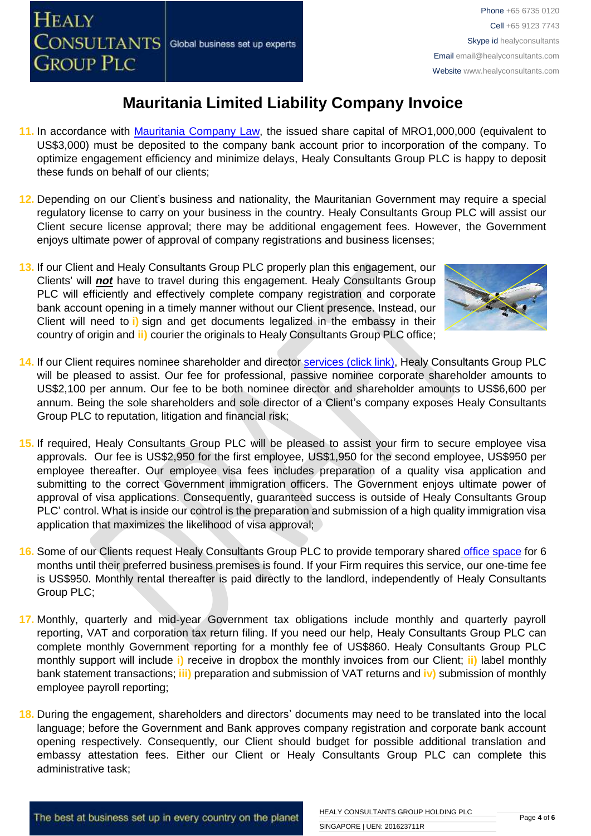

- **11.** In accordance with [Mauritania](http://www.wipo.int/wipolex/fr/text.jsp?file_id=236577#LinkTarget_7738) Company Law, the issued share capital of MRO1,000,000 (equivalent to US\$3,000) must be deposited to the company bank account prior to incorporation of the company. To optimize engagement efficiency and minimize delays, Healy Consultants Group PLC is happy to deposit these funds on behalf of our clients;
- **12.** Depending on our Client's business and nationality, the Mauritanian Government may require a special regulatory license to carry on your business in the country. Healy Consultants Group PLC will assist our Client secure license approval; there may be additional engagement fees. However, the Government enjoys ultimate power of approval of company registrations and business licenses;
- **13.** If our Client and Healy Consultants Group PLC properly plan this engagement, our Clients' will *not* have to travel during this engagement. Healy Consultants Group PLC will efficiently and effectively complete company registration and corporate bank account opening in a timely manner without our Client presence. Instead, our Client will need to **i)** sign and get documents legalized in the embassy in their country of origin and **ii)** courier the originals to Healy Consultants Group PLC office;



- **14.** If our Client requires nominee shareholder and director services [\(click link\),](http://www.healyconsultants.com/corporate-outsourcing-services/nominee-shareholders-directors/) Healy Consultants Group PLC will be pleased to assist. Our fee for professional, passive nominee corporate shareholder amounts to US\$2,100 per annum. Our fee to be both nominee director and shareholder amounts to US\$6,600 per annum. Being the sole shareholders and sole director of a Client's company exposes Healy Consultants Group PLC to reputation, litigation and financial risk;
- **15.** If required, Healy Consultants Group PLC will be pleased to assist your firm to secure employee visa approvals. Our fee is US\$2,950 for the first employee, US\$1,950 for the second employee, US\$950 per employee thereafter. Our employee visa fees includes preparation of a quality visa application and submitting to the correct Government immigration officers. The Government enjoys ultimate power of approval of visa applications. Consequently, guaranteed success is outside of Healy Consultants Group PLC' control. What is inside our control is the preparation and submission of a high quality immigration visa application that maximizes the likelihood of visa approval;
- **16.** Some of our Clients request Healy Consultants Group PLC to provide temporary shared [office space](http://www.healyconsultants.com/virtual-office/) for 6 months until their preferred business premises is found. If your Firm requires this service, our one-time fee is US\$950. Monthly rental thereafter is paid directly to the landlord, independently of Healy Consultants Group PLC;
- **17.** Monthly, quarterly and mid-year Government tax obligations include monthly and quarterly payroll reporting, VAT and corporation tax return filing. If you need our help, Healy Consultants Group PLC can complete monthly Government reporting for a monthly fee of US\$860. Healy Consultants Group PLC monthly support will include **i)** receive in dropbox the monthly invoices from our Client; **ii)** label monthly bank statement transactions; **iii)** preparation and submission of VAT returns and **iv)** submission of monthly employee payroll reporting;
- **18.** During the engagement, shareholders and directors' documents may need to be translated into the local language; before the Government and Bank approves company registration and corporate bank account opening respectively. Consequently, our Client should budget for possible additional translation and embassy attestation fees. Either our Client or Healy Consultants Group PLC can complete this administrative task;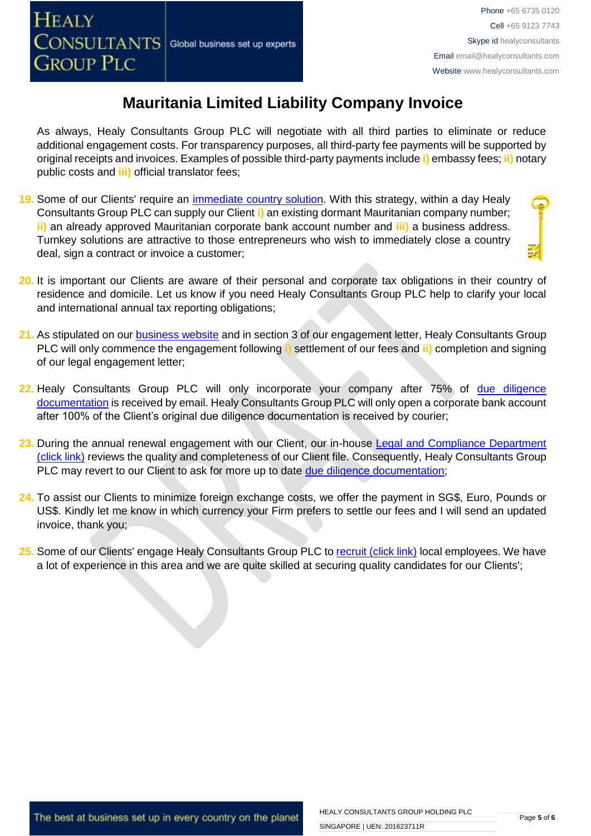As always, Healy Consultants Group PLC will negotiate with all third parties to eliminate or reduce additional engagement costs. For transparency purposes, all third-party fee payments will be supported by original receipts and invoices. Examples of possible third-party payments include **i)** embassy fees; **ii)** notary public costs and **iii)** official translator fees;

- **19.** Some of our Clients' require an [immediate country solution.](http://www.healyconsultants.com/turnkey-solutions/) With this strategy, within a day Healy Consultants Group PLC can supply our Client **i)** an existing dormant Mauritanian company number; **ii)** an already approved Mauritanian corporate bank account number and **iii)** a business address. Turnkey solutions are attractive to those entrepreneurs who wish to immediately close a country deal, sign a contract or invoice a customer;
- **20.** It is important our Clients are aware of their personal and corporate tax obligations in their country of residence and domicile. Let us know if you need Healy Consultants Group PLC help to clarify your local and international annual tax reporting obligations;
- **21.** As stipulated on our [business website](http://www.healyconsultants.com/) and in section 3 of our engagement letter, Healy Consultants Group PLC will only commence the engagement following **i)** settlement of our fees and **ii)** completion and signing of our legal engagement letter;
- **22.** Healy Consultants Group PLC will only incorporate your company after 75% of [due diligence](http://www.healyconsultants.com/due-diligence/)  [documentation](http://www.healyconsultants.com/due-diligence/) is received by email. Healy Consultants Group PLC will only open a corporate bank account after 100% of the Client's original due diligence documentation is received by courier;
- 23. During the annual renewal engagement with our Client, our in-house Legal and Compliance Department [\(click link\)](http://www.healyconsultants.com/about-us/key-personnel/cai-xin-profile/) reviews the quality and completeness of our Client file. Consequently, Healy Consultants Group PLC may revert to our Client to ask for more up to date [due diligence documentation;](http://www.healyconsultants.com/due-diligence/)
- **24.** To assist our Clients to minimize foreign exchange costs, we offer the payment in SG\$, Euro, Pounds or US\$. Kindly let me know in which currency your Firm prefers to settle our fees and I will send an updated invoice, thank you;
- **25.** Some of our Clients' engage Healy Consultants Group PLC t[o recruit \(click link\)](http://www.healyconsultants.com/corporate-outsourcing-services/how-we-help-our-clients-recruit-quality-employees/) local employees. We have a lot of experience in this area and we are quite skilled at securing quality candidates for our Clients';